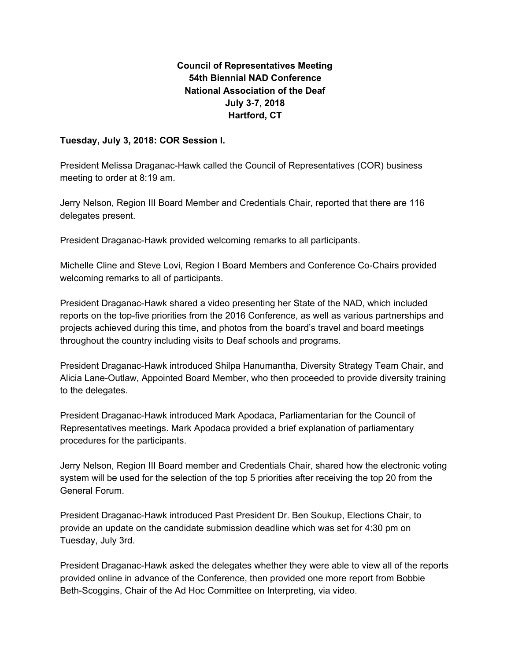## **Council of Representatives Meeting 54th Biennial NAD Conference National Association of the Deaf July 3-7, 2018 Hartford, CT**

## **Tuesday, July 3, 2018: COR Session I.**

President Melissa Draganac-Hawk called the Council of Representatives (COR) business meeting to order at 8:19 am.

Jerry Nelson, Region III Board Member and Credentials Chair, reported that there are 116 delegates present.

President Draganac-Hawk provided welcoming remarks to all participants.

Michelle Cline and Steve Lovi, Region I Board Members and Conference Co-Chairs provided welcoming remarks to all of participants.

President Draganac-Hawk shared a video presenting her State of the NAD, which included reports on the top-five priorities from the 2016 Conference, as well as various partnerships and projects achieved during this time, and photos from the board's travel and board meetings throughout the country including visits to Deaf schools and programs.

President Draganac-Hawk introduced Shilpa Hanumantha, Diversity Strategy Team Chair, and Alicia Lane-Outlaw, Appointed Board Member, who then proceeded to provide diversity training to the delegates.

President Draganac-Hawk introduced Mark Apodaca, Parliamentarian for the Council of Representatives meetings. Mark Apodaca provided a brief explanation of parliamentary procedures for the participants.

Jerry Nelson, Region III Board member and Credentials Chair, shared how the electronic voting system will be used for the selection of the top 5 priorities after receiving the top 20 from the General Forum.

President Draganac-Hawk introduced Past President Dr. Ben Soukup, Elections Chair, to provide an update on the candidate submission deadline which was set for 4:30 pm on Tuesday, July 3rd.

President Draganac-Hawk asked the delegates whether they were able to view all of the reports provided online in advance of the Conference, then provided one more report from Bobbie Beth-Scoggins, Chair of the Ad Hoc Committee on Interpreting, via video.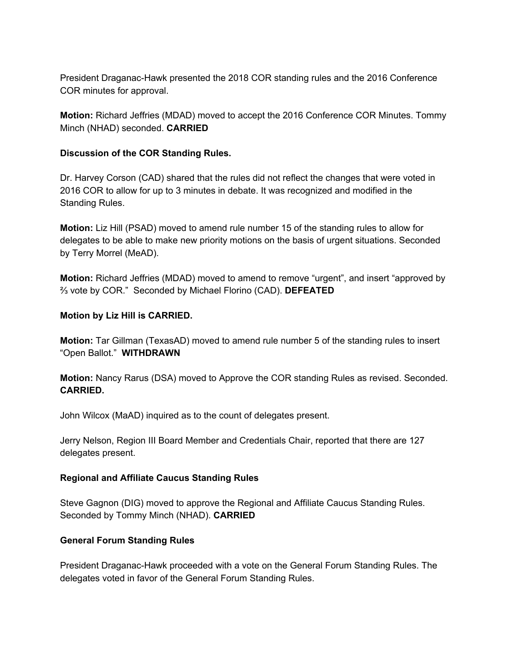President Draganac-Hawk presented the 2018 COR standing rules and the 2016 Conference COR minutes for approval.

**Motion:** Richard Jeffries (MDAD) moved to accept the 2016 Conference COR Minutes. Tommy Minch (NHAD) seconded. **CARRIED**

## **Discussion of the COR Standing Rules.**

Dr. Harvey Corson (CAD) shared that the rules did not reflect the changes that were voted in 2016 COR to allow for up to 3 minutes in debate. It was recognized and modified in the Standing Rules.

**Motion:** Liz Hill (PSAD) moved to amend rule number 15 of the standing rules to allow for delegates to be able to make new priority motions on the basis of urgent situations. Seconded by Terry Morrel (MeAD).

**Motion:** Richard Jeffries (MDAD) moved to amend to remove "urgent", and insert "approved by ⅔ vote by COR." Seconded by Michael Florino (CAD). **DEFEATED**

## **Motion by Liz Hill is CARRIED.**

**Motion:** Tar Gillman (TexasAD) moved to amend rule number 5 of the standing rules to insert "Open Ballot." **WITHDRAWN**

**Motion:** Nancy Rarus (DSA) moved to Approve the COR standing Rules as revised. Seconded. **CARRIED.**

John Wilcox (MaAD) inquired as to the count of delegates present.

Jerry Nelson, Region III Board Member and Credentials Chair, reported that there are 127 delegates present.

## **Regional and Affiliate Caucus Standing Rules**

Steve Gagnon (DIG) moved to approve the Regional and Affiliate Caucus Standing Rules. Seconded by Tommy Minch (NHAD). **CARRIED**

## **General Forum Standing Rules**

President Draganac-Hawk proceeded with a vote on the General Forum Standing Rules. The delegates voted in favor of the General Forum Standing Rules.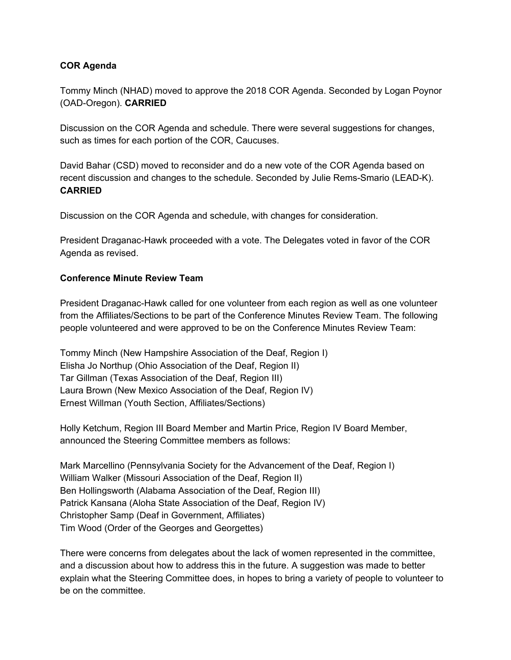## **COR Agenda**

Tommy Minch (NHAD) moved to approve the 2018 COR Agenda. Seconded by Logan Poynor (OAD-Oregon). **CARRIED**

Discussion on the COR Agenda and schedule. There were several suggestions for changes, such as times for each portion of the COR, Caucuses.

David Bahar (CSD) moved to reconsider and do a new vote of the COR Agenda based on recent discussion and changes to the schedule. Seconded by Julie Rems-Smario (LEAD-K). **CARRIED**

Discussion on the COR Agenda and schedule, with changes for consideration.

President Draganac-Hawk proceeded with a vote. The Delegates voted in favor of the COR Agenda as revised.

## **Conference Minute Review Team**

President Draganac-Hawk called for one volunteer from each region as well as one volunteer from the Affiliates/Sections to be part of the Conference Minutes Review Team. The following people volunteered and were approved to be on the Conference Minutes Review Team:

Tommy Minch (New Hampshire Association of the Deaf, Region I) Elisha Jo Northup (Ohio Association of the Deaf, Region II) Tar Gillman (Texas Association of the Deaf, Region III) Laura Brown (New Mexico Association of the Deaf, Region IV) Ernest Willman (Youth Section, Affiliates/Sections)

Holly Ketchum, Region III Board Member and Martin Price, Region IV Board Member, announced the Steering Committee members as follows:

Mark Marcellino (Pennsylvania Society for the Advancement of the Deaf, Region I) William Walker (Missouri Association of the Deaf, Region II) Ben Hollingsworth (Alabama Association of the Deaf, Region III) Patrick Kansana (Aloha State Association of the Deaf, Region IV) Christopher Samp (Deaf in Government, Affiliates) Tim Wood (Order of the Georges and Georgettes)

There were concerns from delegates about the lack of women represented in the committee, and a discussion about how to address this in the future. A suggestion was made to better explain what the Steering Committee does, in hopes to bring a variety of people to volunteer to be on the committee.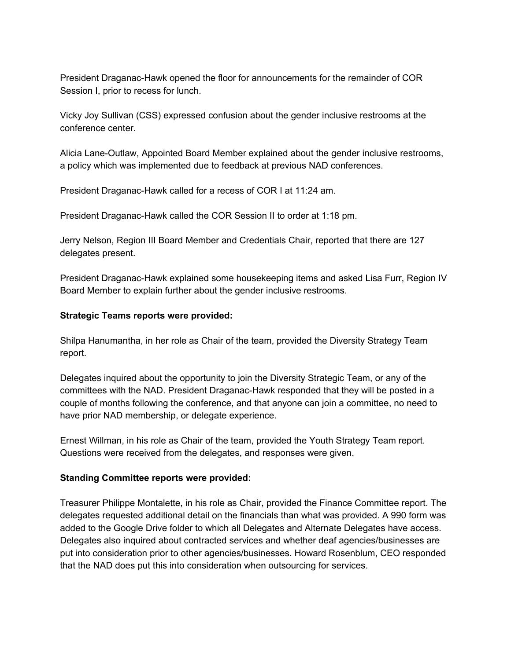President Draganac-Hawk opened the floor for announcements for the remainder of COR Session I, prior to recess for lunch.

Vicky Joy Sullivan (CSS) expressed confusion about the gender inclusive restrooms at the conference center.

Alicia Lane-Outlaw, Appointed Board Member explained about the gender inclusive restrooms, a policy which was implemented due to feedback at previous NAD conferences.

President Draganac-Hawk called for a recess of COR I at 11:24 am.

President Draganac-Hawk called the COR Session II to order at 1:18 pm.

Jerry Nelson, Region III Board Member and Credentials Chair, reported that there are 127 delegates present.

President Draganac-Hawk explained some housekeeping items and asked Lisa Furr, Region IV Board Member to explain further about the gender inclusive restrooms.

## **Strategic Teams reports were provided:**

Shilpa Hanumantha, in her role as Chair of the team, provided the Diversity Strategy Team report.

Delegates inquired about the opportunity to join the Diversity Strategic Team, or any of the committees with the NAD. President Draganac-Hawk responded that they will be posted in a couple of months following the conference, and that anyone can join a committee, no need to have prior NAD membership, or delegate experience.

Ernest Willman, in his role as Chair of the team, provided the Youth Strategy Team report. Questions were received from the delegates, and responses were given.

## **Standing Committee reports were provided:**

Treasurer Philippe Montalette, in his role as Chair, provided the Finance Committee report. The delegates requested additional detail on the financials than what was provided. A 990 form was added to the Google Drive folder to which all Delegates and Alternate Delegates have access. Delegates also inquired about contracted services and whether deaf agencies/businesses are put into consideration prior to other agencies/businesses. Howard Rosenblum, CEO responded that the NAD does put this into consideration when outsourcing for services.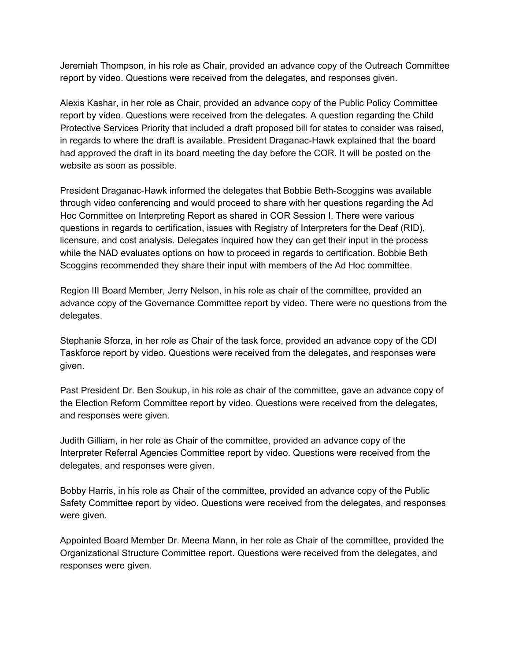Jeremiah Thompson, in his role as Chair, provided an advance copy of the Outreach Committee report by video. Questions were received from the delegates, and responses given.

Alexis Kashar, in her role as Chair, provided an advance copy of the Public Policy Committee report by video. Questions were received from the delegates. A question regarding the Child Protective Services Priority that included a draft proposed bill for states to consider was raised, in regards to where the draft is available. President Draganac-Hawk explained that the board had approved the draft in its board meeting the day before the COR. It will be posted on the website as soon as possible.

President Draganac-Hawk informed the delegates that Bobbie Beth-Scoggins was available through video conferencing and would proceed to share with her questions regarding the Ad Hoc Committee on Interpreting Report as shared in COR Session I. There were various questions in regards to certification, issues with Registry of Interpreters for the Deaf (RID), licensure, and cost analysis. Delegates inquired how they can get their input in the process while the NAD evaluates options on how to proceed in regards to certification. Bobbie Beth Scoggins recommended they share their input with members of the Ad Hoc committee.

Region III Board Member, Jerry Nelson, in his role as chair of the committee, provided an advance copy of the Governance Committee report by video. There were no questions from the delegates.

Stephanie Sforza, in her role as Chair of the task force, provided an advance copy of the CDI Taskforce report by video. Questions were received from the delegates, and responses were given.

Past President Dr. Ben Soukup, in his role as chair of the committee, gave an advance copy of the Election Reform Committee report by video. Questions were received from the delegates, and responses were given.

Judith Gilliam, in her role as Chair of the committee, provided an advance copy of the Interpreter Referral Agencies Committee report by video. Questions were received from the delegates, and responses were given.

Bobby Harris, in his role as Chair of the committee, provided an advance copy of the Public Safety Committee report by video. Questions were received from the delegates, and responses were given.

Appointed Board Member Dr. Meena Mann, in her role as Chair of the committee, provided the Organizational Structure Committee report. Questions were received from the delegates, and responses were given.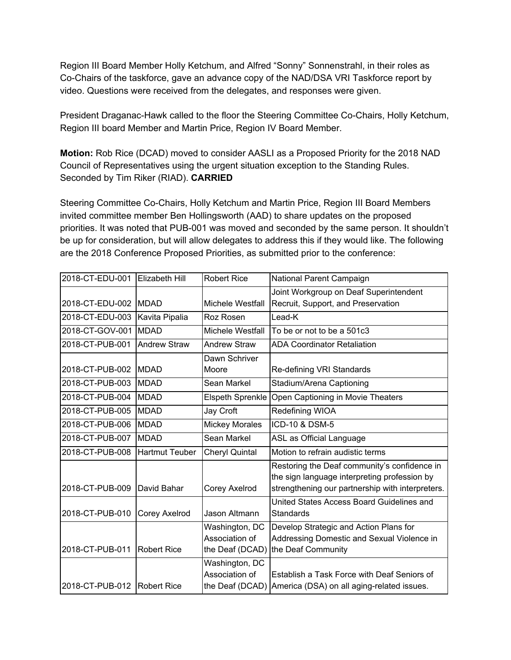Region III Board Member Holly Ketchum, and Alfred "Sonny" Sonnenstrahl, in their roles as Co-Chairs of the taskforce, gave an advance copy of the NAD/DSA VRI Taskforce report by video. Questions were received from the delegates, and responses were given.

President Draganac-Hawk called to the floor the Steering Committee Co-Chairs, Holly Ketchum, Region III board Member and Martin Price, Region IV Board Member.

**Motion:** Rob Rice (DCAD) moved to consider AASLI as a Proposed Priority for the 2018 NAD Council of Representatives using the urgent situation exception to the Standing Rules. Seconded by Tim Riker (RIAD). **CARRIED**

Steering Committee Co-Chairs, Holly Ketchum and Martin Price, Region III Board Members invited committee member Ben Hollingsworth (AAD) to share updates on the proposed priorities. It was noted that PUB-001 was moved and seconded by the same person. It shouldn't be up for consideration, but will allow delegates to address this if they would like. The following are the 2018 Conference Proposed Priorities, as submitted prior to the conference:

| 2018-CT-EDU-001               | Elizabeth Hill        | <b>Robert Rice</b>                                  | National Parent Campaign                                                                                                                         |
|-------------------------------|-----------------------|-----------------------------------------------------|--------------------------------------------------------------------------------------------------------------------------------------------------|
|                               |                       |                                                     | Joint Workgroup on Deaf Superintendent                                                                                                           |
| 2018-CT-EDU-002               | <b>IMDAD</b>          | Michele Westfall                                    | Recruit, Support, and Preservation                                                                                                               |
| 2018-CT-EDU-003               | Kavita Pipalia        | Roz Rosen                                           | Lead-K                                                                                                                                           |
| 2018-CT-GOV-001               | <b>MDAD</b>           | Michele Westfall                                    | To be or not to be a 501c3                                                                                                                       |
| 2018-CT-PUB-001               | <b>Andrew Straw</b>   | <b>Andrew Straw</b>                                 | <b>ADA Coordinator Retaliation</b>                                                                                                               |
|                               |                       | Dawn Schriver                                       |                                                                                                                                                  |
| 2018-CT-PUB-002               | <b>IMDAD</b>          | Moore                                               | Re-defining VRI Standards                                                                                                                        |
| 2018-CT-PUB-003               | <b>MDAD</b>           | Sean Markel                                         | Stadium/Arena Captioning                                                                                                                         |
| 2018-CT-PUB-004               | <b>MDAD</b>           | <b>Elspeth Sprenkle</b>                             | Open Captioning in Movie Theaters                                                                                                                |
| 2018-CT-PUB-005               | <b>MDAD</b>           | Jay Croft                                           | Redefining WIOA                                                                                                                                  |
| 2018-CT-PUB-006               | <b>MDAD</b>           | <b>Mickey Morales</b>                               | ICD-10 & DSM-5                                                                                                                                   |
| 2018-CT-PUB-007               | <b>MDAD</b>           | Sean Markel                                         | ASL as Official Language                                                                                                                         |
| 2018-CT-PUB-008               | <b>Hartmut Teuber</b> | <b>Cheryl Quintal</b>                               | Motion to refrain audistic terms                                                                                                                 |
| 2018-CT-PUB-009               | David Bahar           | Corey Axelrod                                       | Restoring the Deaf community's confidence in<br>the sign language interpreting profession by<br>strengthening our partnership with interpreters. |
| 2018-CT-PUB-010               | Corey Axelrod         | Jason Altmann                                       | United States Access Board Guidelines and<br>Standards                                                                                           |
| 2018-CT-PUB-011               | <b>Robert Rice</b>    | Washington, DC<br>Association of<br>the Deaf (DCAD) | Develop Strategic and Action Plans for<br>Addressing Domestic and Sexual Violence in<br>the Deaf Community                                       |
| 2018-CT-PUB-012   Robert Rice |                       | Washington, DC<br>Association of<br>the Deaf (DCAD) | Establish a Task Force with Deaf Seniors of<br>America (DSA) on all aging-related issues.                                                        |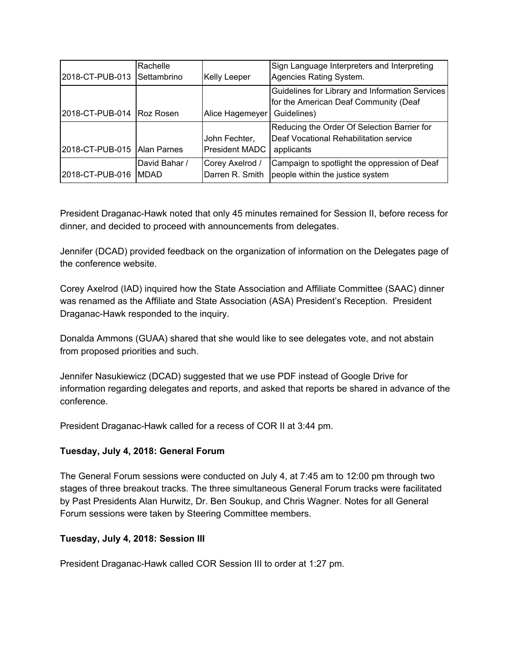|                               | Rachelle      |                       | Sign Language Interpreters and Interpreting     |
|-------------------------------|---------------|-----------------------|-------------------------------------------------|
| 2018-CT-PUB-013               | Settambrino   | <b>Kelly Leeper</b>   | Agencies Rating System.                         |
|                               |               |                       | Guidelines for Library and Information Services |
|                               |               |                       | for the American Deaf Community (Deaf           |
| 2018-CT-PUB-014 Roz Rosen     |               | Alice Hagemeyer       | Guidelines)                                     |
|                               |               |                       | Reducing the Order Of Selection Barrier for     |
|                               |               | John Fechter,         | Deaf Vocational Rehabilitation service          |
| 2018-CT-PUB-015   Alan Parnes |               | <b>President MADC</b> | applicants                                      |
|                               | David Bahar / | Corey Axelrod /       | Campaign to spotlight the oppression of Deaf    |
| 2018-CT-PUB-016               | IMDAD         | Darren R. Smith       | people within the justice system                |

President Draganac-Hawk noted that only 45 minutes remained for Session II, before recess for dinner, and decided to proceed with announcements from delegates.

Jennifer (DCAD) provided feedback on the organization of information on the Delegates page of the conference website.

Corey Axelrod (IAD) inquired how the State Association and Affiliate Committee (SAAC) dinner was renamed as the Affiliate and State Association (ASA) President's Reception. President Draganac-Hawk responded to the inquiry.

Donalda Ammons (GUAA) shared that she would like to see delegates vote, and not abstain from proposed priorities and such.

Jennifer Nasukiewicz (DCAD) suggested that we use PDF instead of Google Drive for information regarding delegates and reports, and asked that reports be shared in advance of the conference.

President Draganac-Hawk called for a recess of COR II at 3:44 pm.

## **Tuesday, July 4, 2018: General Forum**

The General Forum sessions were conducted on July 4, at 7:45 am to 12:00 pm through two stages of three breakout tracks. The three simultaneous General Forum tracks were facilitated by Past Presidents Alan Hurwitz, Dr. Ben Soukup, and Chris Wagner. Notes for all General Forum sessions were taken by Steering Committee members.

## **Tuesday, July 4, 2018: Session III**

President Draganac-Hawk called COR Session III to order at 1:27 pm.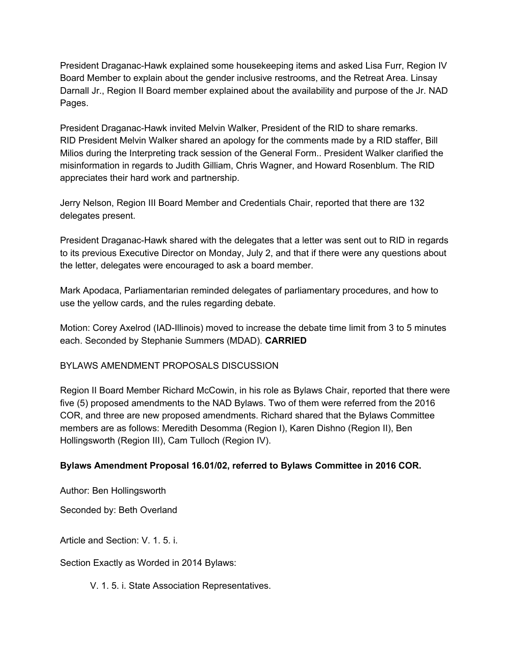President Draganac-Hawk explained some housekeeping items and asked Lisa Furr, Region IV Board Member to explain about the gender inclusive restrooms, and the Retreat Area. Linsay Darnall Jr., Region II Board member explained about the availability and purpose of the Jr. NAD Pages.

President Draganac-Hawk invited Melvin Walker, President of the RID to share remarks. RID President Melvin Walker shared an apology for the comments made by a RID staffer, Bill Milios during the Interpreting track session of the General Form.. President Walker clarified the misinformation in regards to Judith Gilliam, Chris Wagner, and Howard Rosenblum. The RID appreciates their hard work and partnership.

Jerry Nelson, Region III Board Member and Credentials Chair, reported that there are 132 delegates present.

President Draganac-Hawk shared with the delegates that a letter was sent out to RID in regards to its previous Executive Director on Monday, July 2, and that if there were any questions about the letter, delegates were encouraged to ask a board member.

Mark Apodaca, Parliamentarian reminded delegates of parliamentary procedures, and how to use the yellow cards, and the rules regarding debate.

Motion: Corey Axelrod (IAD-Illinois) moved to increase the debate time limit from 3 to 5 minutes each. Seconded by Stephanie Summers (MDAD). **CARRIED**

BYLAWS AMENDMENT PROPOSALS DISCUSSION

Region II Board Member Richard McCowin, in his role as Bylaws Chair, reported that there were five (5) proposed amendments to the NAD Bylaws. Two of them were referred from the 2016 COR, and three are new proposed amendments. Richard shared that the Bylaws Committee members are as follows: Meredith Desomma (Region I), Karen Dishno (Region II), Ben Hollingsworth (Region III), Cam Tulloch (Region IV).

## **Bylaws Amendment Proposal 16.01/02, referred to Bylaws Committee in 2016 COR.**

Author: Ben Hollingsworth

Seconded by: Beth Overland

Article and Section: V. 1. 5. i.

Section Exactly as Worded in 2014 Bylaws:

V. 1. 5. i. State Association Representatives.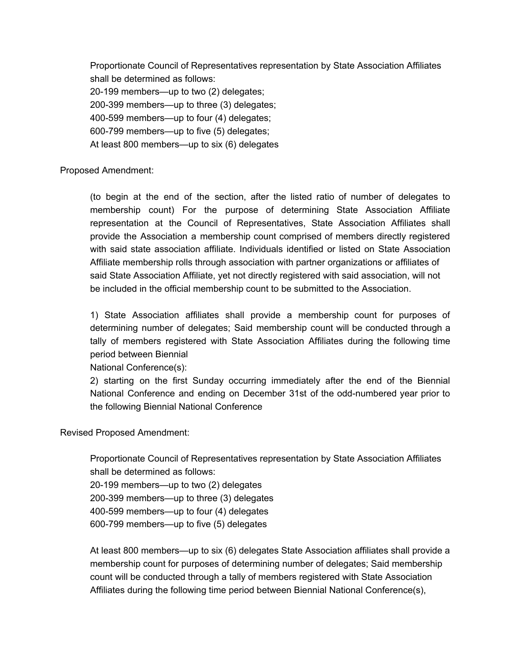Proportionate Council of Representatives representation by State Association Affiliates shall be determined as follows: 20-199 members—up to two (2) delegates; 200-399 members—up to three (3) delegates; 400-599 members—up to four (4) delegates; 600-799 members—up to five (5) delegates; At least 800 members—up to six (6) delegates

Proposed Amendment:

(to begin at the end of the section, after the listed ratio of number of delegates to membership count) For the purpose of determining State Association Affiliate representation at the Council of Representatives, State Association Affiliates shall provide the Association a membership count comprised of members directly registered with said state association affiliate. Individuals identified or listed on State Association Affiliate membership rolls through association with partner organizations or affiliates of said State Association Affiliate, yet not directly registered with said association, will not be included in the official membership count to be submitted to the Association.

1) State Association affiliates shall provide a membership count for purposes of determining number of delegates; Said membership count will be conducted through a tally of members registered with State Association Affiliates during the following time period between Biennial

National Conference(s):

2) starting on the first Sunday occurring immediately after the end of the Biennial National Conference and ending on December 31st of the odd-numbered year prior to the following Biennial National Conference

Revised Proposed Amendment:

Proportionate Council of Representatives representation by State Association Affiliates shall be determined as follows:

20-199 members—up to two (2) delegates

200-399 members—up to three (3) delegates

400-599 members—up to four (4) delegates

600-799 members—up to five (5) delegates

At least 800 members—up to six (6) delegates State Association affiliates shall provide a membership count for purposes of determining number of delegates; Said membership count will be conducted through a tally of members registered with State Association Affiliates during the following time period between Biennial National Conference(s),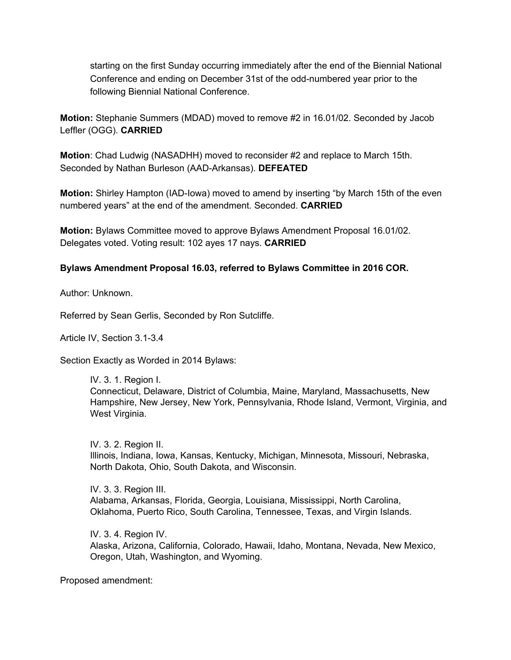starting on the first Sunday occurring immediately after the end of the Biennial National Conference and ending on December 31st of the odd-numbered year prior to the following Biennial National Conference.

**Motion:** Stephanie Summers (MDAD) moved to remove #2 in 16.01/02. Seconded by Jacob Leffler (OGG). **CARRIED**

**Motion**: Chad Ludwig (NASADHH) moved to reconsider #2 and replace to March 15th. Seconded by Nathan Burleson (AAD-Arkansas). **DEFEATED**

**Motion:** Shirley Hampton (IAD-Iowa) moved to amend by inserting "by March 15th of the even numbered years" at the end of the amendment. Seconded. **CARRIED**

**Motion:** Bylaws Committee moved to approve Bylaws Amendment Proposal 16.01/02. Delegates voted. Voting result: 102 ayes 17 nays. **CARRIED**

## **Bylaws Amendment Proposal 16.03, referred to Bylaws Committee in 2016 COR.**

Author: Unknown.

Referred by Sean Gerlis, Seconded by Ron Sutcliffe.

Article IV, Section 3.1-3.4

Section Exactly as Worded in 2014 Bylaws:

IV. 3. 1. Region I. Connecticut, Delaware, District of Columbia, Maine, Maryland, Massachusetts, New Hampshire, New Jersey, New York, Pennsylvania, Rhode Island, Vermont, Virginia, and West Virginia.

IV. 3. 2. Region II. Illinois, Indiana, Iowa, Kansas, Kentucky, Michigan, Minnesota, Missouri, Nebraska, North Dakota, Ohio, South Dakota, and Wisconsin.

IV. 3. 3. Region III. Alabama, Arkansas, Florida, Georgia, Louisiana, Mississippi, North Carolina, Oklahoma, Puerto Rico, South Carolina, Tennessee, Texas, and Virgin Islands.

IV. 3. 4. Region IV. Alaska, Arizona, California, Colorado, Hawaii, Idaho, Montana, Nevada, New Mexico, Oregon, Utah, Washington, and Wyoming.

Proposed amendment: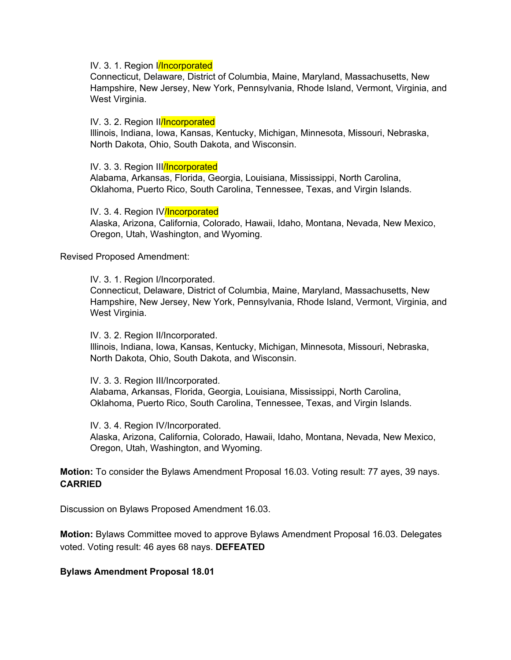#### IV. 3. 1. Region *|/Incorporated*

Connecticut, Delaware, District of Columbia, Maine, Maryland, Massachusetts, New Hampshire, New Jersey, New York, Pennsylvania, Rhode Island, Vermont, Virginia, and West Virginia.

#### IV. 3. 2. Region Illincorporated

Illinois, Indiana, Iowa, Kansas, Kentucky, Michigan, Minnesota, Missouri, Nebraska, North Dakota, Ohio, South Dakota, and Wisconsin.

#### IV. 3. 3. Region III/Incorporated

Alabama, Arkansas, Florida, Georgia, Louisiana, Mississippi, North Carolina, Oklahoma, Puerto Rico, South Carolina, Tennessee, Texas, and Virgin Islands.

#### IV. 3. 4. Region IV/Incorporated

Alaska, Arizona, California, Colorado, Hawaii, Idaho, Montana, Nevada, New Mexico, Oregon, Utah, Washington, and Wyoming.

#### Revised Proposed Amendment:

#### IV. 3. 1. Region I/Incorporated.

Connecticut, Delaware, District of Columbia, Maine, Maryland, Massachusetts, New Hampshire, New Jersey, New York, Pennsylvania, Rhode Island, Vermont, Virginia, and West Virginia.

IV. 3. 2. Region II/Incorporated.

Illinois, Indiana, Iowa, Kansas, Kentucky, Michigan, Minnesota, Missouri, Nebraska, North Dakota, Ohio, South Dakota, and Wisconsin.

IV. 3. 3. Region III/Incorporated.

Alabama, Arkansas, Florida, Georgia, Louisiana, Mississippi, North Carolina, Oklahoma, Puerto Rico, South Carolina, Tennessee, Texas, and Virgin Islands.

IV. 3. 4. Region IV/Incorporated.

Alaska, Arizona, California, Colorado, Hawaii, Idaho, Montana, Nevada, New Mexico, Oregon, Utah, Washington, and Wyoming.

**Motion:** To consider the Bylaws Amendment Proposal 16.03. Voting result: 77 ayes, 39 nays. **CARRIED**

Discussion on Bylaws Proposed Amendment 16.03.

**Motion:** Bylaws Committee moved to approve Bylaws Amendment Proposal 16.03. Delegates voted. Voting result: 46 ayes 68 nays. **DEFEATED**

#### **Bylaws Amendment Proposal 18.01**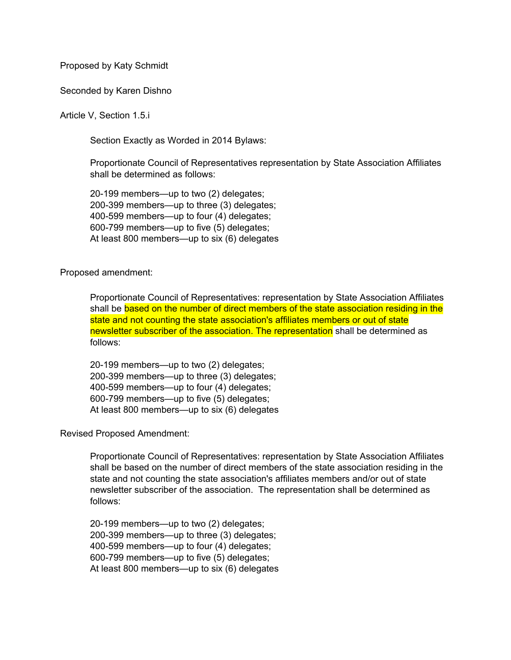Proposed by Katy Schmidt

#### Seconded by Karen Dishno

#### Article V, Section 1.5.i

Section Exactly as Worded in 2014 Bylaws:

Proportionate Council of Representatives representation by State Association Affiliates shall be determined as follows:

20-199 members—up to two (2) delegates; 200-399 members—up to three (3) delegates; 400-599 members—up to four (4) delegates; 600-799 members—up to five (5) delegates; At least 800 members—up to six (6) delegates

Proposed amendment:

Proportionate Council of Representatives: representation by State Association Affiliates shall be based on the number of direct members of the state association residing in the state and not counting the state association's affiliates members or out of state newsletter subscriber of the association. The representation shall be determined as follows:

20-199 members—up to two (2) delegates; 200-399 members—up to three (3) delegates; 400-599 members—up to four (4) delegates; 600-799 members—up to five (5) delegates; At least 800 members—up to six (6) delegates

Revised Proposed Amendment:

Proportionate Council of Representatives: representation by State Association Affiliates shall be based on the number of direct members of the state association residing in the state and not counting the state association's affiliates members and/or out of state newsletter subscriber of the association. The representation shall be determined as follows:

20-199 members—up to two (2) delegates; 200-399 members—up to three (3) delegates; 400-599 members—up to four (4) delegates; 600-799 members—up to five (5) delegates; At least 800 members—up to six (6) delegates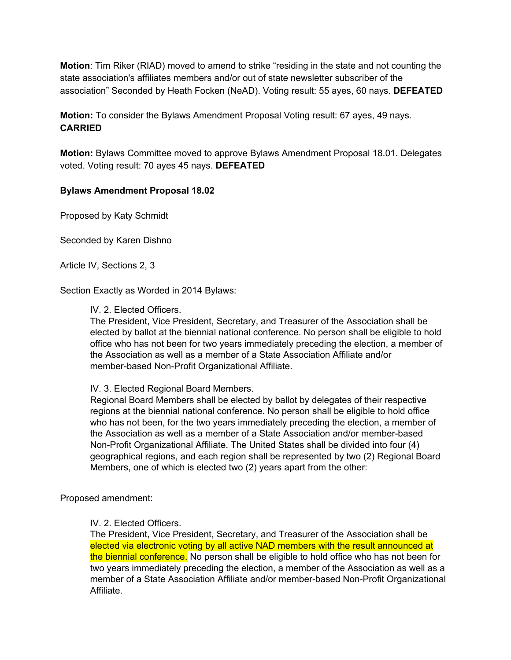**Motion**: Tim Riker (RIAD) moved to amend to strike "residing in the state and not counting the state association's affiliates members and/or out of state newsletter subscriber of the association" Seconded by Heath Focken (NeAD). Voting result: 55 ayes, 60 nays. **DEFEATED**

**Motion:** To consider the Bylaws Amendment Proposal Voting result: 67 ayes, 49 nays. **CARRIED**

**Motion:** Bylaws Committee moved to approve Bylaws Amendment Proposal 18.01. Delegates voted. Voting result: 70 ayes 45 nays. **DEFEATED**

## **Bylaws Amendment Proposal 18.02**

Proposed by Katy Schmidt

Seconded by Karen Dishno

Article IV, Sections 2, 3

Section Exactly as Worded in 2014 Bylaws:

### IV. 2. Elected Officers.

The President, Vice President, Secretary, and Treasurer of the Association shall be elected by ballot at the biennial national conference. No person shall be eligible to hold office who has not been for two years immediately preceding the election, a member of the Association as well as a member of a State Association Affiliate and/or member-based Non-Profit Organizational Affiliate.

IV. 3. Elected Regional Board Members.

Regional Board Members shall be elected by ballot by delegates of their respective regions at the biennial national conference. No person shall be eligible to hold office who has not been, for the two years immediately preceding the election, a member of the Association as well as a member of a State Association and/or member-based Non-Profit Organizational Affiliate. The United States shall be divided into four (4) geographical regions, and each region shall be represented by two (2) Regional Board Members, one of which is elected two (2) years apart from the other:

Proposed amendment:

## IV. 2. Elected Officers.

The President, Vice President, Secretary, and Treasurer of the Association shall be elected via electronic voting by all active NAD members with the result announced at the biennial conference. No person shall be eligible to hold office who has not been for two years immediately preceding the election, a member of the Association as well as a member of a State Association Affiliate and/or member-based Non-Profit Organizational Affiliate.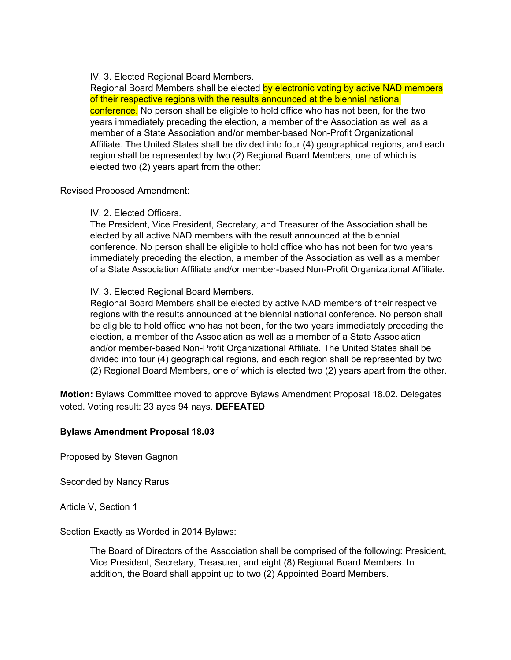IV. 3. Elected Regional Board Members.

Regional Board Members shall be elected by electronic voting by active NAD members of their respective regions with the results announced at the biennial national conference. No person shall be eligible to hold office who has not been, for the two years immediately preceding the election, a member of the Association as well as a member of a State Association and/or member-based Non-Profit Organizational Affiliate. The United States shall be divided into four (4) geographical regions, and each region shall be represented by two (2) Regional Board Members, one of which is elected two (2) years apart from the other:

Revised Proposed Amendment:

### IV. 2. Elected Officers.

The President, Vice President, Secretary, and Treasurer of the Association shall be elected by all active NAD members with the result announced at the biennial conference. No person shall be eligible to hold office who has not been for two years immediately preceding the election, a member of the Association as well as a member of a State Association Affiliate and/or member-based Non-Profit Organizational Affiliate.

## IV. 3. Elected Regional Board Members.

Regional Board Members shall be elected by active NAD members of their respective regions with the results announced at the biennial national conference. No person shall be eligible to hold office who has not been, for the two years immediately preceding the election, a member of the Association as well as a member of a State Association and/or member-based Non-Profit Organizational Affiliate. The United States shall be divided into four (4) geographical regions, and each region shall be represented by two (2) Regional Board Members, one of which is elected two (2) years apart from the other.

**Motion:** Bylaws Committee moved to approve Bylaws Amendment Proposal 18.02. Delegates voted. Voting result: 23 ayes 94 nays. **DEFEATED**

## **Bylaws Amendment Proposal 18.03**

Proposed by Steven Gagnon

Seconded by Nancy Rarus

Article V, Section 1

Section Exactly as Worded in 2014 Bylaws:

The Board of Directors of the Association shall be comprised of the following: President, Vice President, Secretary, Treasurer, and eight (8) Regional Board Members. In addition, the Board shall appoint up to two (2) Appointed Board Members.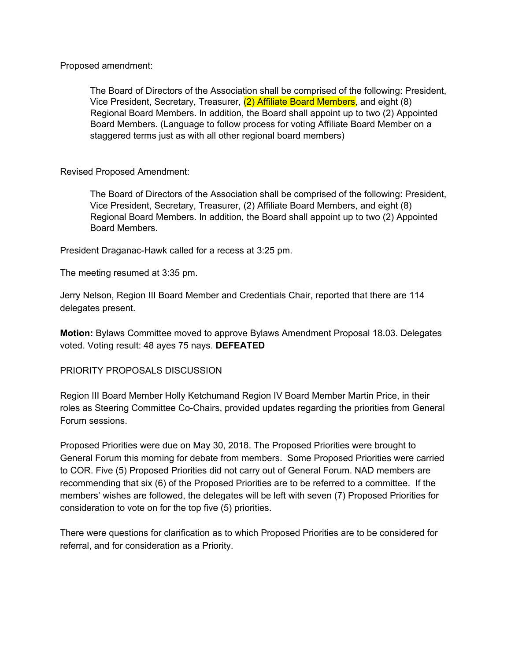Proposed amendment:

The Board of Directors of the Association shall be comprised of the following: President, Vice President, Secretary, Treasurer, (2) Affiliate Board Members, and eight (8) Regional Board Members. In addition, the Board shall appoint up to two (2) Appointed Board Members. (Language to follow process for voting Affiliate Board Member on a staggered terms just as with all other regional board members)

Revised Proposed Amendment:

The Board of Directors of the Association shall be comprised of the following: President, Vice President, Secretary, Treasurer, (2) Affiliate Board Members, and eight (8) Regional Board Members. In addition, the Board shall appoint up to two (2) Appointed Board Members.

President Draganac-Hawk called for a recess at 3:25 pm.

The meeting resumed at 3:35 pm.

Jerry Nelson, Region III Board Member and Credentials Chair, reported that there are 114 delegates present.

**Motion:** Bylaws Committee moved to approve Bylaws Amendment Proposal 18.03. Delegates voted. Voting result: 48 ayes 75 nays. **DEFEATED**

## PRIORITY PROPOSALS DISCUSSION

Region III Board Member Holly Ketchumand Region IV Board Member Martin Price, in their roles as Steering Committee Co-Chairs, provided updates regarding the priorities from General Forum sessions.

Proposed Priorities were due on May 30, 2018. The Proposed Priorities were brought to General Forum this morning for debate from members. Some Proposed Priorities were carried to COR. Five (5) Proposed Priorities did not carry out of General Forum. NAD members are recommending that six (6) of the Proposed Priorities are to be referred to a committee. If the members' wishes are followed, the delegates will be left with seven (7) Proposed Priorities for consideration to vote on for the top five (5) priorities.

There were questions for clarification as to which Proposed Priorities are to be considered for referral, and for consideration as a Priority.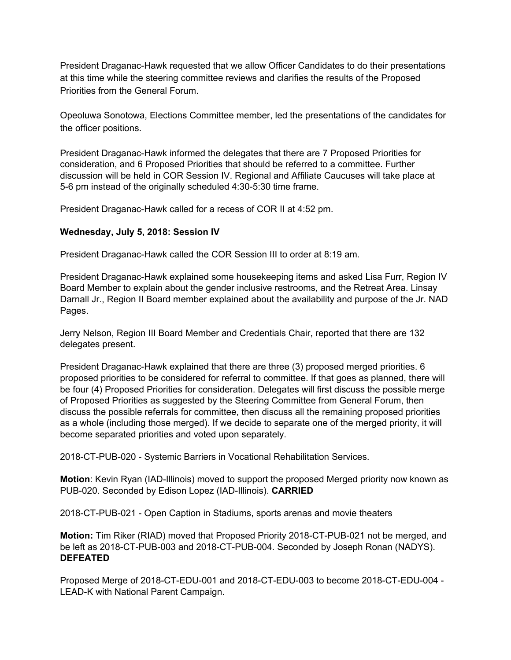President Draganac-Hawk requested that we allow Officer Candidates to do their presentations at this time while the steering committee reviews and clarifies the results of the Proposed Priorities from the General Forum.

Opeoluwa Sonotowa, Elections Committee member, led the presentations of the candidates for the officer positions.

President Draganac-Hawk informed the delegates that there are 7 Proposed Priorities for consideration, and 6 Proposed Priorities that should be referred to a committee. Further discussion will be held in COR Session IV. Regional and Affiliate Caucuses will take place at 5-6 pm instead of the originally scheduled 4:30-5:30 time frame.

President Draganac-Hawk called for a recess of COR II at 4:52 pm.

## **Wednesday, July 5, 2018: Session IV**

President Draganac-Hawk called the COR Session III to order at 8:19 am.

President Draganac-Hawk explained some housekeeping items and asked Lisa Furr, Region IV Board Member to explain about the gender inclusive restrooms, and the Retreat Area. Linsay Darnall Jr., Region II Board member explained about the availability and purpose of the Jr. NAD Pages.

Jerry Nelson, Region III Board Member and Credentials Chair, reported that there are 132 delegates present.

President Draganac-Hawk explained that there are three (3) proposed merged priorities. 6 proposed priorities to be considered for referral to committee. If that goes as planned, there will be four (4) Proposed Priorities for consideration. Delegates will first discuss the possible merge of Proposed Priorities as suggested by the Steering Committee from General Forum, then discuss the possible referrals for committee, then discuss all the remaining proposed priorities as a whole (including those merged). If we decide to separate one of the merged priority, it will become separated priorities and voted upon separately.

2018-CT-PUB-020 - Systemic Barriers in Vocational Rehabilitation Services.

**Motion**: Kevin Ryan (IAD-Illinois) moved to support the proposed Merged priority now known as PUB-020. Seconded by Edison Lopez (IAD-Illinois). **CARRIED**

2018-CT-PUB-021 - Open Caption in Stadiums, sports arenas and movie theaters

**Motion:** Tim Riker (RIAD) moved that Proposed Priority 2018-CT-PUB-021 not be merged, and be left as 2018-CT-PUB-003 and 2018-CT-PUB-004. Seconded by Joseph Ronan (NADYS). **DEFEATED**

Proposed Merge of 2018-CT-EDU-001 and 2018-CT-EDU-003 to become 2018-CT-EDU-004 - LEAD-K with National Parent Campaign.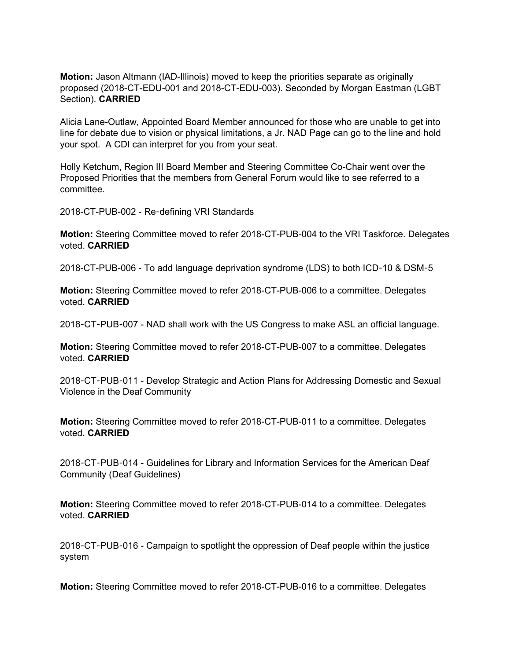**Motion:** Jason Altmann (IAD-Illinois) moved to keep the priorities separate as originally proposed (2018-CT-EDU-001 and 2018-CT-EDU-003). Seconded by Morgan Eastman (LGBT Section). **CARRIED**

Alicia Lane-Outlaw, Appointed Board Member announced for those who are unable to get into line for debate due to vision or physical limitations, a Jr. NAD Page can go to the line and hold your spot. A CDI can interpret for you from your seat.

Holly Ketchum, Region III Board Member and Steering Committee Co-Chair went over the Proposed Priorities that the members from General Forum would like to see referred to a committee.

2018-CT-PUB-002 - Re-defining VRI Standards

**Motion:** Steering Committee moved to refer 2018-CT-PUB-004 to the VRI Taskforce. Delegates voted. **CARRIED**

2018-CT-PUB-006 - To add language deprivation syndrome (LDS) to both ICD-10 & DSM-5

**Motion:** Steering Committee moved to refer 2018-CT-PUB-006 to a committee. Delegates voted. **CARRIED**

2018-CT-PUB-007 - NAD shall work with the US Congress to make ASL an official language.

**Motion:** Steering Committee moved to refer 2018-CT-PUB-007 to a committee. Delegates voted. **CARRIED**

2018-CT-PUB-011 - Develop Strategic and Action Plans for Addressing Domestic and Sexual Violence in the Deaf Community

**Motion:** Steering Committee moved to refer 2018-CT-PUB-011 to a committee. Delegates voted. **CARRIED**

2018-CT-PUB-014 - Guidelines for Library and Information Services for the American Deaf Community (Deaf Guidelines)

**Motion:** Steering Committee moved to refer 2018-CT-PUB-014 to a committee. Delegates voted. **CARRIED**

2018-CT-PUB-016 - Campaign to spotlight the oppression of Deaf people within the justice system

**Motion:** Steering Committee moved to refer 2018-CT-PUB-016 to a committee. Delegates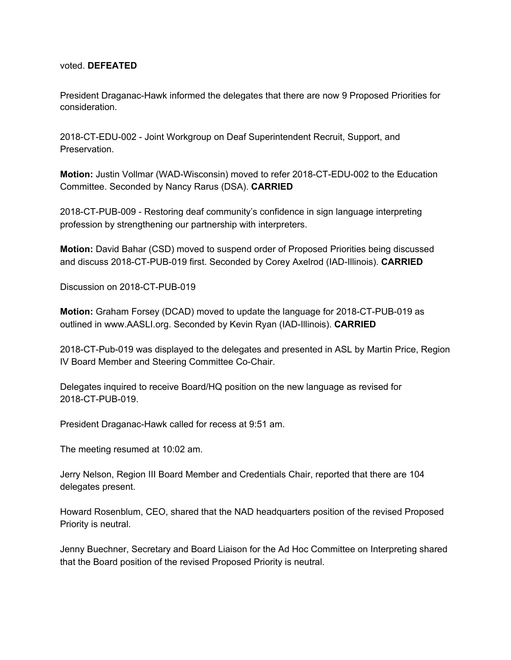#### voted. **DEFEATED**

President Draganac-Hawk informed the delegates that there are now 9 Proposed Priorities for consideration.

2018-CT-EDU-002 - Joint Workgroup on Deaf Superintendent Recruit, Support, and Preservation.

**Motion:** Justin Vollmar (WAD-Wisconsin) moved to refer 2018-CT-EDU-002 to the Education Committee. Seconded by Nancy Rarus (DSA). **CARRIED**

2018-CT-PUB-009 - Restoring deaf community's confidence in sign language interpreting profession by strengthening our partnership with interpreters.

**Motion:** David Bahar (CSD) moved to suspend order of Proposed Priorities being discussed and discuss 2018-CT-PUB-019 first. Seconded by Corey Axelrod (IAD-Illinois). **CARRIED**

Discussion on 2018-CT-PUB-019

**Motion:** Graham Forsey (DCAD) moved to update the language for 2018-CT-PUB-019 as outlined in www.AASLI.org. Seconded by Kevin Ryan (IAD-Illinois). **CARRIED**

2018-CT-Pub-019 was displayed to the delegates and presented in ASL by Martin Price, Region IV Board Member and Steering Committee Co-Chair.

Delegates inquired to receive Board/HQ position on the new language as revised for 2018-CT-PUB-019.

President Draganac-Hawk called for recess at 9:51 am.

The meeting resumed at 10:02 am.

Jerry Nelson, Region III Board Member and Credentials Chair, reported that there are 104 delegates present.

Howard Rosenblum, CEO, shared that the NAD headquarters position of the revised Proposed Priority is neutral.

Jenny Buechner, Secretary and Board Liaison for the Ad Hoc Committee on Interpreting shared that the Board position of the revised Proposed Priority is neutral.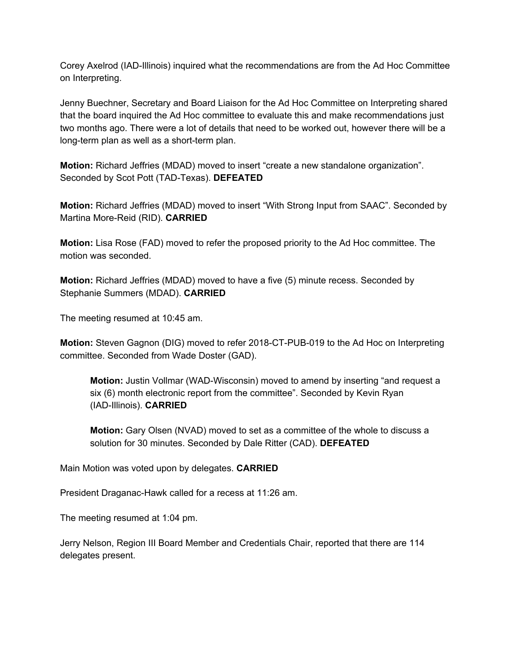Corey Axelrod (IAD-Illinois) inquired what the recommendations are from the Ad Hoc Committee on Interpreting.

Jenny Buechner, Secretary and Board Liaison for the Ad Hoc Committee on Interpreting shared that the board inquired the Ad Hoc committee to evaluate this and make recommendations just two months ago. There were a lot of details that need to be worked out, however there will be a long-term plan as well as a short-term plan.

**Motion:** Richard Jeffries (MDAD) moved to insert "create a new standalone organization". Seconded by Scot Pott (TAD-Texas). **DEFEATED**

**Motion:** Richard Jeffries (MDAD) moved to insert "With Strong Input from SAAC". Seconded by Martina More-Reid (RID). **CARRIED**

**Motion:** Lisa Rose (FAD) moved to refer the proposed priority to the Ad Hoc committee. The motion was seconded.

**Motion:** Richard Jeffries (MDAD) moved to have a five (5) minute recess. Seconded by Stephanie Summers (MDAD). **CARRIED**

The meeting resumed at 10:45 am.

**Motion:** Steven Gagnon (DIG) moved to refer 2018-CT-PUB-019 to the Ad Hoc on Interpreting committee. Seconded from Wade Doster (GAD).

**Motion:** Justin Vollmar (WAD-Wisconsin) moved to amend by inserting "and request a six (6) month electronic report from the committee". Seconded by Kevin Ryan (IAD-Illinois). **CARRIED**

**Motion:** Gary Olsen (NVAD) moved to set as a committee of the whole to discuss a solution for 30 minutes. Seconded by Dale Ritter (CAD). **DEFEATED**

Main Motion was voted upon by delegates. **CARRIED**

President Draganac-Hawk called for a recess at 11:26 am.

The meeting resumed at 1:04 pm.

Jerry Nelson, Region III Board Member and Credentials Chair, reported that there are 114 delegates present.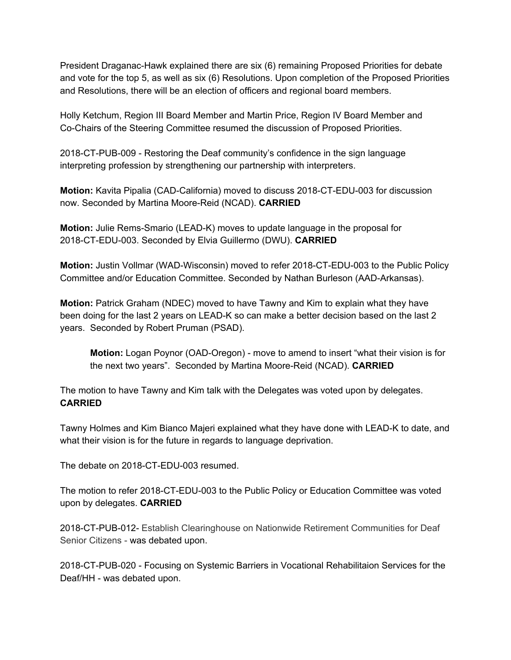President Draganac-Hawk explained there are six (6) remaining Proposed Priorities for debate and vote for the top 5, as well as six (6) Resolutions. Upon completion of the Proposed Priorities and Resolutions, there will be an election of officers and regional board members.

Holly Ketchum, Region III Board Member and Martin Price, Region IV Board Member and Co-Chairs of the Steering Committee resumed the discussion of Proposed Priorities.

2018-CT-PUB-009 - Restoring the Deaf community's confidence in the sign language interpreting profession by strengthening our partnership with interpreters.

**Motion:** Kavita Pipalia (CAD-California) moved to discuss 2018-CT-EDU-003 for discussion now. Seconded by Martina Moore-Reid (NCAD). **CARRIED**

**Motion:** Julie Rems-Smario (LEAD-K) moves to update language in the proposal for 2018-CT-EDU-003. Seconded by Elvia Guillermo (DWU). **CARRIED**

**Motion:** Justin Vollmar (WAD-Wisconsin) moved to refer 2018-CT-EDU-003 to the Public Policy Committee and/or Education Committee. Seconded by Nathan Burleson (AAD-Arkansas).

**Motion:** Patrick Graham (NDEC) moved to have Tawny and Kim to explain what they have been doing for the last 2 years on LEAD-K so can make a better decision based on the last 2 years. Seconded by Robert Pruman (PSAD).

**Motion:** Logan Poynor (OAD-Oregon) - move to amend to insert "what their vision is for the next two years". Seconded by Martina Moore-Reid (NCAD). **CARRIED**

The motion to have Tawny and Kim talk with the Delegates was voted upon by delegates. **CARRIED**

Tawny Holmes and Kim Bianco Majeri explained what they have done with LEAD-K to date, and what their vision is for the future in regards to language deprivation.

The debate on 2018-CT-EDU-003 resumed.

The motion to refer 2018-CT-EDU-003 to the Public Policy or Education Committee was voted upon by delegates. **CARRIED**

2018-CT-PUB-012- Establish Clearinghouse on Nationwide Retirement Communities for Deaf Senior Citizens - was debated upon.

2018-CT-PUB-020 - Focusing on Systemic Barriers in Vocational Rehabilitaion Services for the Deaf/HH - was debated upon.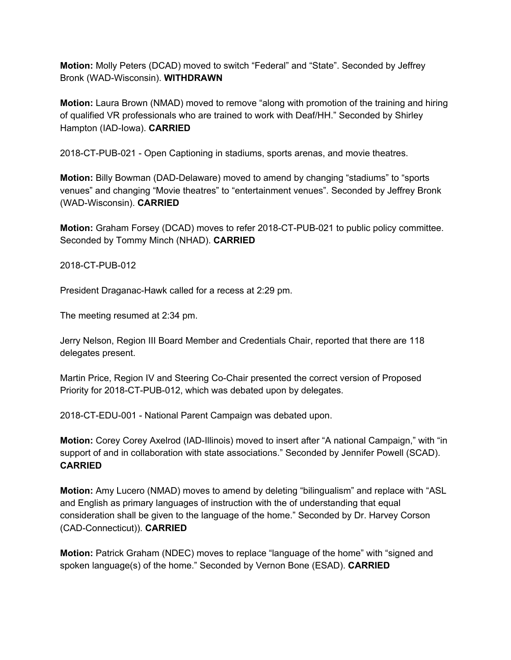**Motion:** Molly Peters (DCAD) moved to switch "Federal" and "State". Seconded by Jeffrey Bronk (WAD-Wisconsin). **WITHDRAWN**

**Motion:** Laura Brown (NMAD) moved to remove "along with promotion of the training and hiring of qualified VR professionals who are trained to work with Deaf/HH." Seconded by Shirley Hampton (IAD-Iowa). **CARRIED**

2018-CT-PUB-021 - Open Captioning in stadiums, sports arenas, and movie theatres.

**Motion:** Billy Bowman (DAD-Delaware) moved to amend by changing "stadiums" to "sports venues" and changing "Movie theatres" to "entertainment venues". Seconded by Jeffrey Bronk (WAD-Wisconsin). **CARRIED**

**Motion:** Graham Forsey (DCAD) moves to refer 2018-CT-PUB-021 to public policy committee. Seconded by Tommy Minch (NHAD). **CARRIED**

2018-CT-PUB-012

President Draganac-Hawk called for a recess at 2:29 pm.

The meeting resumed at 2:34 pm.

Jerry Nelson, Region III Board Member and Credentials Chair, reported that there are 118 delegates present.

Martin Price, Region IV and Steering Co-Chair presented the correct version of Proposed Priority for 2018-CT-PUB-012, which was debated upon by delegates.

2018-CT-EDU-001 - National Parent Campaign was debated upon.

**Motion:** Corey Corey Axelrod (IAD-Illinois) moved to insert after "A national Campaign," with "in support of and in collaboration with state associations." Seconded by Jennifer Powell (SCAD). **CARRIED**

**Motion:** Amy Lucero (NMAD) moves to amend by deleting "bilingualism" and replace with "ASL and English as primary languages of instruction with the of understanding that equal consideration shall be given to the language of the home." Seconded by Dr. Harvey Corson (CAD-Connecticut)). **CARRIED**

**Motion:** Patrick Graham (NDEC) moves to replace "language of the home" with "signed and spoken language(s) of the home." Seconded by Vernon Bone (ESAD). **CARRIED**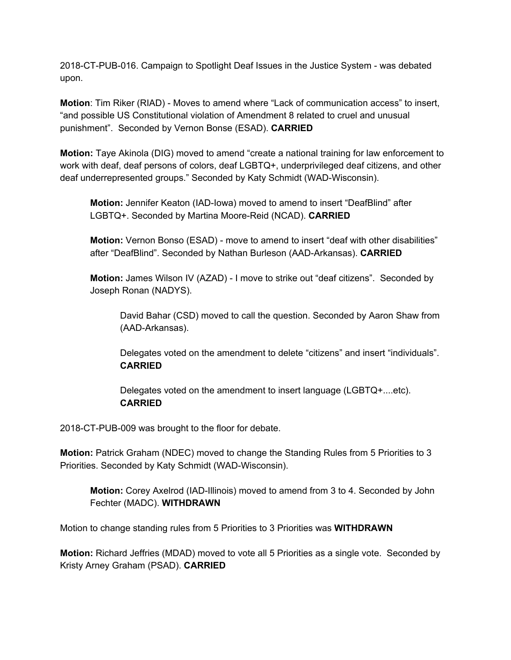2018-CT-PUB-016. Campaign to Spotlight Deaf Issues in the Justice System - was debated upon.

**Motion**: Tim Riker (RIAD) - Moves to amend where "Lack of communication access" to insert, "and possible US Constitutional violation of Amendment 8 related to cruel and unusual punishment". Seconded by Vernon Bonse (ESAD). **CARRIED**

**Motion:** Taye Akinola (DIG) moved to amend "create a national training for law enforcement to work with deaf, deaf persons of colors, deaf LGBTQ+, underprivileged deaf citizens, and other deaf underrepresented groups." Seconded by Katy Schmidt (WAD-Wisconsin).

**Motion:** Jennifer Keaton (IAD-Iowa) moved to amend to insert "DeafBlind" after LGBTQ+. Seconded by Martina Moore-Reid (NCAD). **CARRIED**

**Motion:** Vernon Bonso (ESAD) - move to amend to insert "deaf with other disabilities" after "DeafBlind". Seconded by Nathan Burleson (AAD-Arkansas). **CARRIED**

**Motion:** James Wilson IV (AZAD) - I move to strike out "deaf citizens". Seconded by Joseph Ronan (NADYS).

David Bahar (CSD) moved to call the question. Seconded by Aaron Shaw from (AAD-Arkansas).

Delegates voted on the amendment to delete "citizens" and insert "individuals". **CARRIED**

Delegates voted on the amendment to insert language (LGBTQ+....etc). **CARRIED**

2018-CT-PUB-009 was brought to the floor for debate.

**Motion:** Patrick Graham (NDEC) moved to change the Standing Rules from 5 Priorities to 3 Priorities. Seconded by Katy Schmidt (WAD-Wisconsin).

**Motion:** Corey Axelrod (IAD-Illinois) moved to amend from 3 to 4. Seconded by John Fechter (MADC). **WITHDRAWN**

Motion to change standing rules from 5 Priorities to 3 Priorities was **WITHDRAWN**

**Motion:** Richard Jeffries (MDAD) moved to vote all 5 Priorities as a single vote. Seconded by Kristy Arney Graham (PSAD). **CARRIED**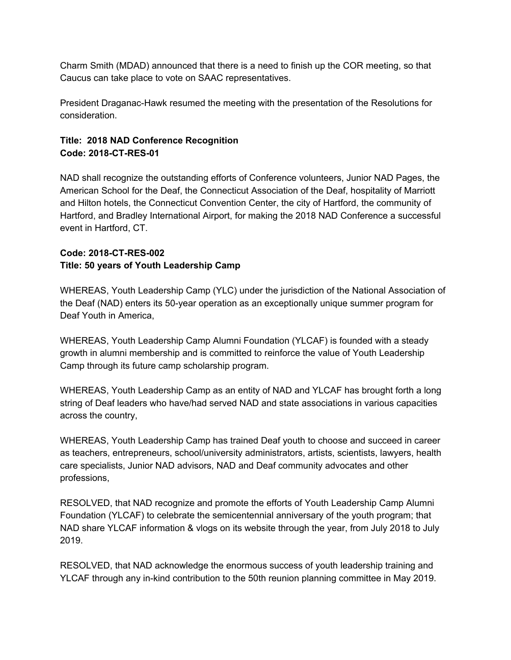Charm Smith (MDAD) announced that there is a need to finish up the COR meeting, so that Caucus can take place to vote on SAAC representatives.

President Draganac-Hawk resumed the meeting with the presentation of the Resolutions for consideration.

## **Title: 2018 NAD Conference Recognition Code: 2018-CT-RES-01**

NAD shall recognize the outstanding efforts of Conference volunteers, Junior NAD Pages, the American School for the Deaf, the Connecticut Association of the Deaf, hospitality of Marriott and Hilton hotels, the Connecticut Convention Center, the city of Hartford, the community of Hartford, and Bradley International Airport, for making the 2018 NAD Conference a successful event in Hartford, CT.

# **Code: 2018-CT-RES-002**

## **Title: 50 years of Youth Leadership Camp**

WHEREAS, Youth Leadership Camp (YLC) under the jurisdiction of the National Association of the Deaf (NAD) enters its 50-year operation as an exceptionally unique summer program for Deaf Youth in America,

WHEREAS, Youth Leadership Camp Alumni Foundation (YLCAF) is founded with a steady growth in alumni membership and is committed to reinforce the value of Youth Leadership Camp through its future camp scholarship program.

WHEREAS, Youth Leadership Camp as an entity of NAD and YLCAF has brought forth a long string of Deaf leaders who have/had served NAD and state associations in various capacities across the country,

WHEREAS, Youth Leadership Camp has trained Deaf youth to choose and succeed in career as teachers, entrepreneurs, school/university administrators, artists, scientists, lawyers, health care specialists, Junior NAD advisors, NAD and Deaf community advocates and other professions,

RESOLVED, that NAD recognize and promote the efforts of Youth Leadership Camp Alumni Foundation (YLCAF) to celebrate the semicentennial anniversary of the youth program; that NAD share YLCAF information & vlogs on its website through the year, from July 2018 to July 2019.

RESOLVED, that NAD acknowledge the enormous success of youth leadership training and YLCAF through any in-kind contribution to the 50th reunion planning committee in May 2019.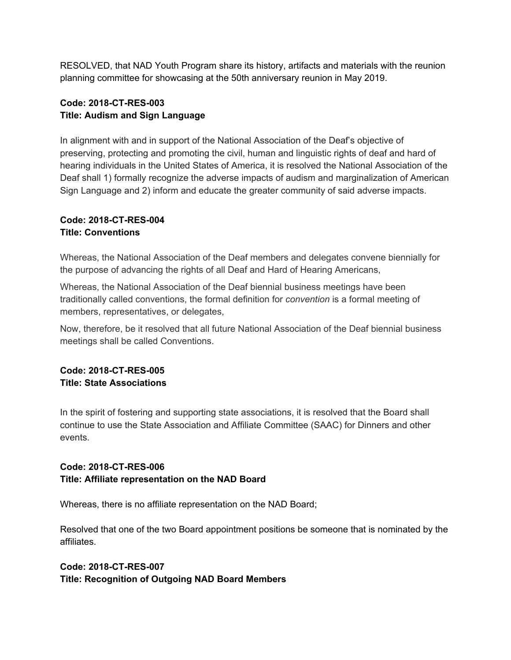RESOLVED, that NAD Youth Program share its history, artifacts and materials with the reunion planning committee for showcasing at the 50th anniversary reunion in May 2019.

## **Code: 2018-CT-RES-003 Title: Audism and Sign Language**

In alignment with and in support of the National Association of the Deaf's objective of preserving, protecting and promoting the civil, human and linguistic rights of deaf and hard of hearing individuals in the United States of America, it is resolved the National Association of the Deaf shall 1) formally recognize the adverse impacts of audism and marginalization of American Sign Language and 2) inform and educate the greater community of said adverse impacts.

## **Code: 2018-CT-RES-004 Title: Conventions**

Whereas, the National Association of the Deaf members and delegates convene biennially for the purpose of advancing the rights of all Deaf and Hard of Hearing Americans,

Whereas, the National Association of the Deaf biennial business meetings have been traditionally called conventions, the formal definition for *convention* is a formal meeting of members, representatives, or delegates,

Now, therefore, be it resolved that all future National Association of the Deaf biennial business meetings shall be called Conventions.

## **Code: 2018-CT-RES-005 Title: State Associations**

In the spirit of fostering and supporting state associations, it is resolved that the Board shall continue to use the State Association and Affiliate Committee (SAAC) for Dinners and other events.

## **Code: 2018-CT-RES-006 Title: Affiliate representation on the NAD Board**

Whereas, there is no affiliate representation on the NAD Board;

Resolved that one of the two Board appointment positions be someone that is nominated by the affiliates.

## **Code: 2018-CT-RES-007 Title: Recognition of Outgoing NAD Board Members**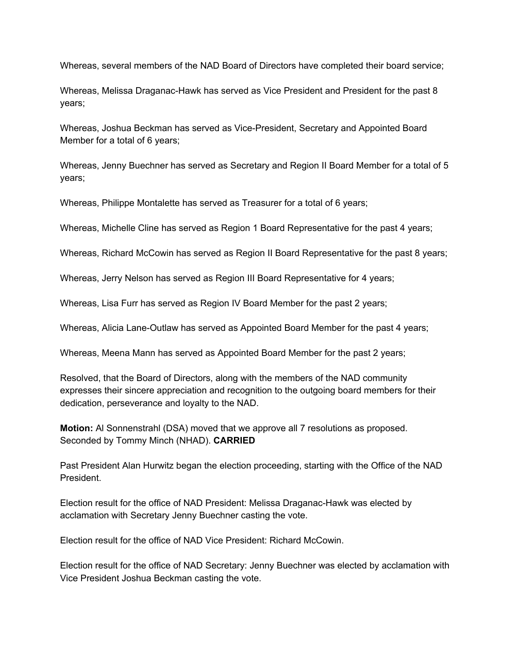Whereas, several members of the NAD Board of Directors have completed their board service;

Whereas, Melissa Draganac-Hawk has served as Vice President and President for the past 8 years;

Whereas, Joshua Beckman has served as Vice-President, Secretary and Appointed Board Member for a total of 6 years;

Whereas, Jenny Buechner has served as Secretary and Region II Board Member for a total of 5 years;

Whereas, Philippe Montalette has served as Treasurer for a total of 6 years;

Whereas, Michelle Cline has served as Region 1 Board Representative for the past 4 years;

Whereas, Richard McCowin has served as Region II Board Representative for the past 8 years;

Whereas, Jerry Nelson has served as Region III Board Representative for 4 years;

Whereas, Lisa Furr has served as Region IV Board Member for the past 2 years;

Whereas, Alicia Lane-Outlaw has served as Appointed Board Member for the past 4 years;

Whereas, Meena Mann has served as Appointed Board Member for the past 2 years;

Resolved, that the Board of Directors, along with the members of the NAD community expresses their sincere appreciation and recognition to the outgoing board members for their dedication, perseverance and loyalty to the NAD.

**Motion:** Al Sonnenstrahl (DSA) moved that we approve all 7 resolutions as proposed. Seconded by Tommy Minch (NHAD). **CARRIED**

Past President Alan Hurwitz began the election proceeding, starting with the Office of the NAD President.

Election result for the office of NAD President: Melissa Draganac-Hawk was elected by acclamation with Secretary Jenny Buechner casting the vote.

Election result for the office of NAD Vice President: Richard McCowin.

Election result for the office of NAD Secretary: Jenny Buechner was elected by acclamation with Vice President Joshua Beckman casting the vote.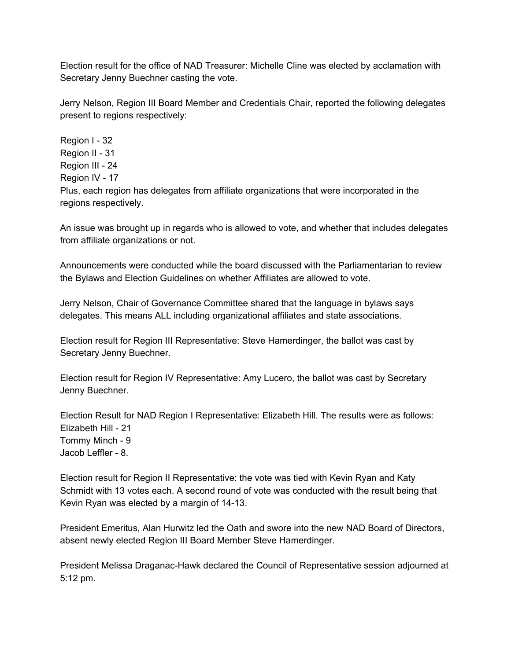Election result for the office of NAD Treasurer: Michelle Cline was elected by acclamation with Secretary Jenny Buechner casting the vote.

Jerry Nelson, Region III Board Member and Credentials Chair, reported the following delegates present to regions respectively:

Region I - 32 Region II - 31 Region III - 24 Region IV - 17 Plus, each region has delegates from affiliate organizations that were incorporated in the regions respectively.

An issue was brought up in regards who is allowed to vote, and whether that includes delegates from affiliate organizations or not.

Announcements were conducted while the board discussed with the Parliamentarian to review the Bylaws and Election Guidelines on whether Affiliates are allowed to vote.

Jerry Nelson, Chair of Governance Committee shared that the language in bylaws says delegates. This means ALL including organizational affiliates and state associations.

Election result for Region III Representative: Steve Hamerdinger, the ballot was cast by Secretary Jenny Buechner.

Election result for Region IV Representative: Amy Lucero, the ballot was cast by Secretary Jenny Buechner.

Election Result for NAD Region I Representative: Elizabeth Hill. The results were as follows: Elizabeth Hill - 21 Tommy Minch - 9 Jacob Leffler - 8.

Election result for Region II Representative: the vote was tied with Kevin Ryan and Katy Schmidt with 13 votes each. A second round of vote was conducted with the result being that Kevin Ryan was elected by a margin of 14-13.

President Emeritus, Alan Hurwitz led the Oath and swore into the new NAD Board of Directors, absent newly elected Region III Board Member Steve Hamerdinger.

President Melissa Draganac-Hawk declared the Council of Representative session adjourned at 5:12 pm.